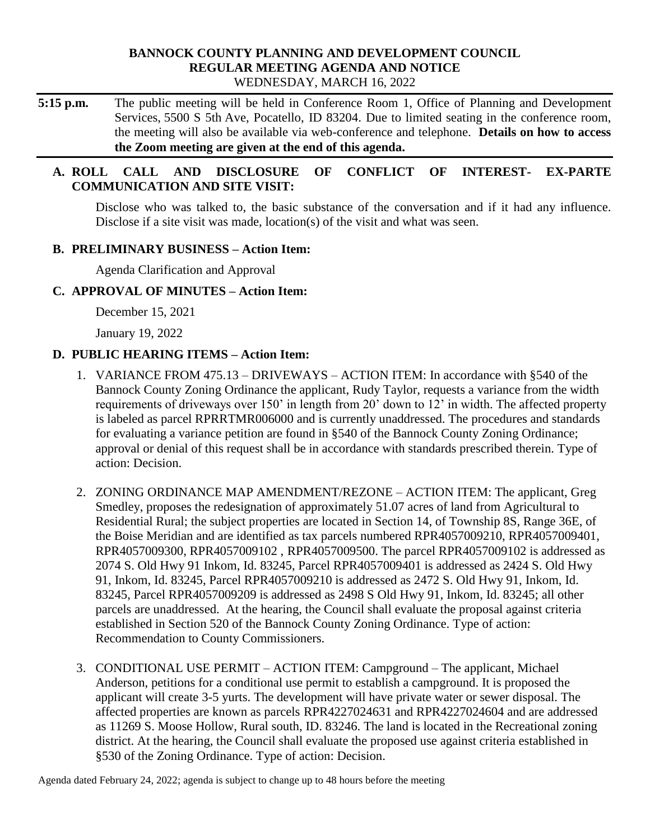#### **BANNOCK COUNTY PLANNING AND DEVELOPMENT COUNCIL REGULAR MEETING AGENDA AND NOTICE** WEDNESDAY, MARCH 16, 2022

**5:15 p.m.** The public meeting will be held in Conference Room 1, Office of Planning and Development Services, 5500 S 5th Ave, Pocatello, ID 83204. Due to limited seating in the conference room, the meeting will also be available via web-conference and telephone. **Details on how to access the Zoom meeting are given at the end of this agenda.** 

## **A. ROLL CALL AND DISCLOSURE OF CONFLICT OF INTEREST- EX-PARTE COMMUNICATION AND SITE VISIT:**

Disclose who was talked to, the basic substance of the conversation and if it had any influence. Disclose if a site visit was made, location(s) of the visit and what was seen.

## **B. PRELIMINARY BUSINESS – Action Item:**

Agenda Clarification and Approval

### **C. APPROVAL OF MINUTES – Action Item:**

December 15, 2021

January 19, 2022

## **D. PUBLIC HEARING ITEMS – Action Item:**

- 1. VARIANCE FROM 475.13 DRIVEWAYS ACTION ITEM: In accordance with §540 of the Bannock County Zoning Ordinance the applicant, Rudy Taylor, requests a variance from the width requirements of driveways over 150' in length from 20' down to 12' in width. The affected property is labeled as parcel RPRRTMR006000 and is currently unaddressed. The procedures and standards for evaluating a variance petition are found in §540 of the Bannock County Zoning Ordinance; approval or denial of this request shall be in accordance with standards prescribed therein. Type of action: Decision.
- 2. ZONING ORDINANCE MAP AMENDMENT/REZONE ACTION ITEM: The applicant, Greg Smedley, proposes the redesignation of approximately 51.07 acres of land from Agricultural to Residential Rural; the subject properties are located in Section 14, of Township 8S, Range 36E, of the Boise Meridian and are identified as tax parcels numbered RPR4057009210, RPR4057009401, RPR4057009300, RPR4057009102 , RPR4057009500. The parcel RPR4057009102 is addressed as 2074 S. Old Hwy 91 Inkom, Id. 83245, Parcel RPR4057009401 is addressed as 2424 S. Old Hwy 91, Inkom, Id. 83245, Parcel RPR4057009210 is addressed as 2472 S. Old Hwy 91, Inkom, Id. 83245, Parcel RPR4057009209 is addressed as 2498 S Old Hwy 91, Inkom, Id. 83245; all other parcels are unaddressed. At the hearing, the Council shall evaluate the proposal against criteria established in Section 520 of the Bannock County Zoning Ordinance. Type of action: Recommendation to County Commissioners.
- 3. CONDITIONAL USE PERMIT ACTION ITEM: Campground The applicant, Michael Anderson, petitions for a conditional use permit to establish a campground. It is proposed the applicant will create 3-5 yurts. The development will have private water or sewer disposal. The affected properties are known as parcels RPR4227024631 and RPR4227024604 and are addressed as 11269 S. Moose Hollow, Rural south, ID. 83246. The land is located in the Recreational zoning district. At the hearing, the Council shall evaluate the proposed use against criteria established in §530 of the Zoning Ordinance. Type of action: Decision.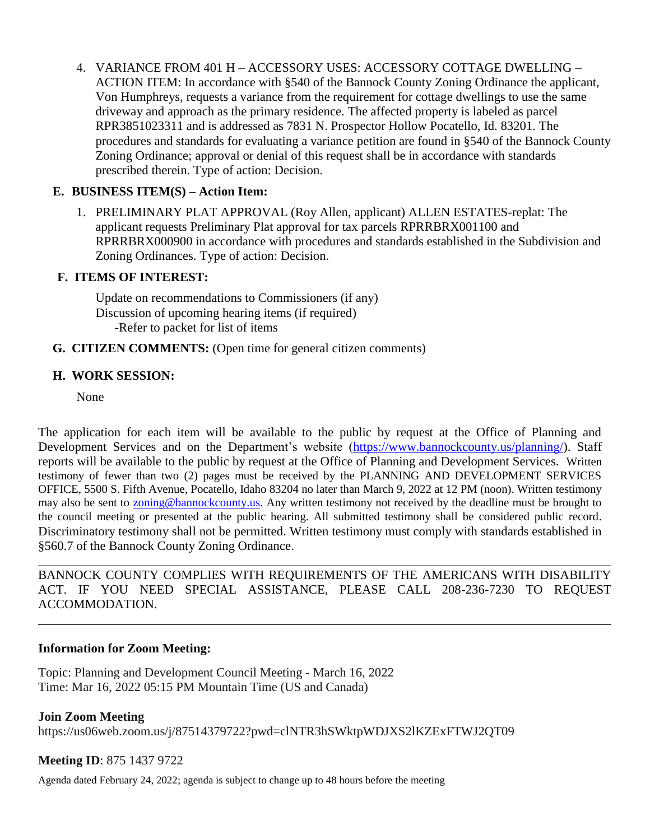4. VARIANCE FROM 401 H – ACCESSORY USES: ACCESSORY COTTAGE DWELLING – ACTION ITEM: In accordance with §540 of the Bannock County Zoning Ordinance the applicant, Von Humphreys, requests a variance from the requirement for cottage dwellings to use the same driveway and approach as the primary residence. The affected property is labeled as parcel RPR3851023311 and is addressed as 7831 N. Prospector Hollow Pocatello, Id. 83201. The procedures and standards for evaluating a variance petition are found in §540 of the Bannock County Zoning Ordinance; approval or denial of this request shall be in accordance with standards prescribed therein. Type of action: Decision.

# **E. BUSINESS ITEM(S) – Action Item:**

1. PRELIMINARY PLAT APPROVAL (Roy Allen, applicant) ALLEN ESTATES-replat: The applicant requests Preliminary Plat approval for tax parcels RPRRBRX001100 and RPRRBRX000900 in accordance with procedures and standards established in the Subdivision and Zoning Ordinances. Type of action: Decision.

## **F. ITEMS OF INTEREST:**

Update on recommendations to Commissioners (if any) Discussion of upcoming hearing items (if required) -Refer to packet for list of items

### **G. CITIZEN COMMENTS:** (Open time for general citizen comments)

## **H. WORK SESSION:**

None

The application for each item will be available to the public by request at the Office of Planning and Development Services and on the Department's website [\(https://www.bannockcounty.us/planning/\)](https://www.bannockcounty.us/planning/). Staff reports will be available to the public by request at the Office of Planning and Development Services. Written testimony of fewer than two (2) pages must be received by the PLANNING AND DEVELOPMENT SERVICES OFFICE, 5500 S. Fifth Avenue, Pocatello, Idaho 83204 no later than March 9, 2022 at 12 PM (noon). Written testimony may also be sent to **zoning@bannockcounty.us**. Any written testimony not received by the deadline must be brought to the council meeting or presented at the public hearing. All submitted testimony shall be considered public record. Discriminatory testimony shall not be permitted. Written testimony must comply with standards established in §560.7 of the Bannock County Zoning Ordinance.

BANNOCK COUNTY COMPLIES WITH REQUIREMENTS OF THE AMERICANS WITH DISABILITY ACT. IF YOU NEED SPECIAL ASSISTANCE, PLEASE CALL 208-236-7230 TO REQUEST ACCOMMODATION.

\_\_\_\_\_\_\_\_\_\_\_\_\_\_\_\_\_\_\_\_\_\_\_\_\_\_\_\_\_\_\_\_\_\_\_\_\_\_\_\_\_\_\_\_\_\_\_\_\_\_\_\_\_\_\_\_\_\_\_\_\_\_\_\_\_\_\_\_\_\_\_\_\_\_\_\_\_\_\_\_\_\_\_\_\_\_\_\_\_\_

#### **Information for Zoom Meeting:**

Topic: Planning and Development Council Meeting - March 16, 2022 Time: Mar 16, 2022 05:15 PM Mountain Time (US and Canada)

#### **Join Zoom Meeting**

https://us06web.zoom.us/j/87514379722?pwd=clNTR3hSWktpWDJXS2lKZExFTWJ2QT09

#### **Meeting ID**: 875 1437 9722

Agenda dated February 24, 2022; agenda is subject to change up to 48 hours before the meeting